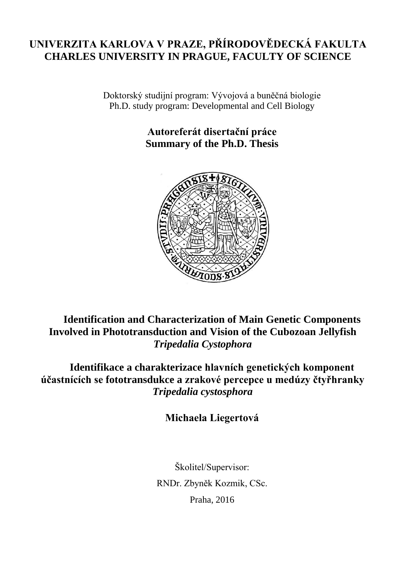## **UNIVERZITA KARLOVA V PRAZE, PŘÍRODOVĚDECKÁ FAKULTA CHARLES UNIVERSITY IN PRAGUE, FACULTY OF SCIENCE**

Doktorský studijní program: Vývojová a buněčná biologie Ph.D. study program: Developmental and Cell Biology

> **Autoreferát disertační práce Summary of the Ph.D. Thesis**



**Identification and Characterization of Main Genetic Components Involved in Phototransduction and Vision of the Cubozoan Jellyfish**  *Tripedalia Cystophora*

**Identifikace a charakterizace hlavních genetických komponent účastnících se fototransdukce a zrakové percepce u medúzy čtyřhranky**  *Tripedalia cystosphora*

**Michaela Liegertová**

Školitel/Supervisor: RNDr. Zbyněk Kozmik, CSc. Praha, 2016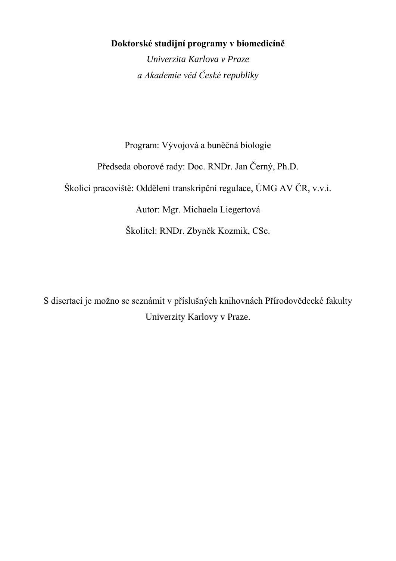## **Doktorské studijní programy v biomedicíně**

*Univerzita Karlova v Praze a Akademie věd České republiky*

Program: Vývojová a buněčná biologie

Předseda oborové rady: Doc. RNDr. Jan Černý, Ph.D.

Školicí pracoviště: Oddělení transkripční regulace, ÚMG AV ČR, v.v.i.

Autor: Mgr. Michaela Liegertová

Školitel: RNDr. Zbyněk Kozmik, CSc.

S disertací je možno se seznámit v příslušných knihovnách Přírodovědecké fakulty Univerzity Karlovy v Praze.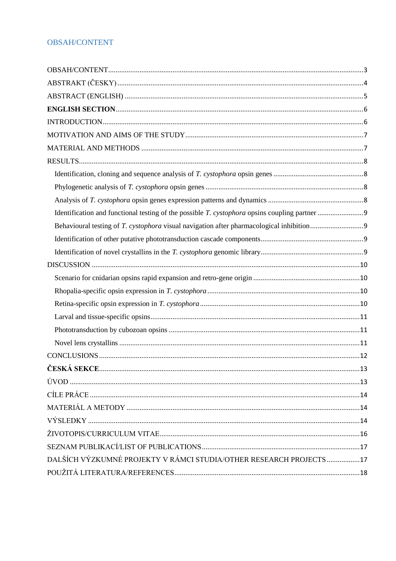## <span id="page-2-0"></span>**OBSAH/CONTENT**

| DALŠÍCH VÝZKUMNÉ PROJEKTY V RÁMCI STUDIA/OTHER RESEARCH PROJECTS 17 |  |
|---------------------------------------------------------------------|--|
|                                                                     |  |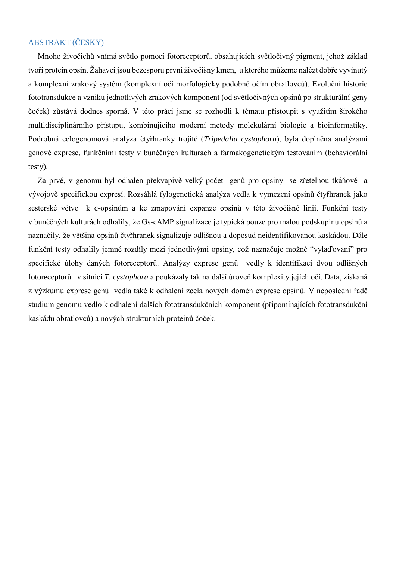#### <span id="page-3-0"></span>ABSTRAKT (ČESKY)

Mnoho živočichů vnímá světlo pomocí fotoreceptorů, obsahujících světločivný pigment, jehož základ tvoří protein opsin. Žahavci jsou bezesporu první živočišný kmen, u kterého můžeme nalézt dobře vyvinutý a komplexní zrakový systém (komplexní oči morfologicky podobné očím obratlovců). Evoluční historie fototransdukce a vzniku jednotlivých zrakových komponent (od světločivných opsinů po strukturální geny čoček) zůstává dodnes sporná. V této práci jsme se rozhodli k tématu přistoupit s využitím širokého multidisciplinárního přístupu, kombinujícího moderní metody molekulární biologie a bioinformatiky. Podrobná celogenomová analýza čtyřhranky trojité (*Tripedalia cystophora*), byla doplněna analýzami genové exprese, funkčními testy v buněčných kulturách a farmakogenetickým testováním (behaviorální testy).

Za prvé, v genomu byl odhalen překvapivě velký počet genů pro opsiny se zřetelnou tkáňově a vývojově specifickou expresí. Rozsáhlá fylogenetická analýza vedla k vymezení opsinů čtyřhranek jako sesterské větve k c-opsinům a ke zmapování expanze opsinů v této živočišné linii. Funkční testy v buněčných kulturách odhalily, že Gs-cAMP signalizace je typická pouze pro malou podskupinu opsinů a naznačily, že většina opsinů čtyřhranek signalizuje odlišnou a doposud neidentifikovanou kaskádou. Dále funkční testy odhalily jemné rozdíly mezi jednotlivými opsiny, což naznačuje možné "vylaďovaní" pro specifické úlohy daných fotoreceptorů. Analýzy exprese genů vedly k identifikaci dvou odlišných fotoreceptorů v sítnici *T. cystophora* a poukázaly tak na další úroveň komplexity jejích očí. Data, získaná z výzkumu exprese genů vedla také k odhalení zcela nových domén exprese opsinů. V neposlední řadě studium genomu vedlo k odhalení dalších fototransdukčních komponent (připomínajících fototransdukční kaskádu obratlovců) a nových strukturních proteinů čoček.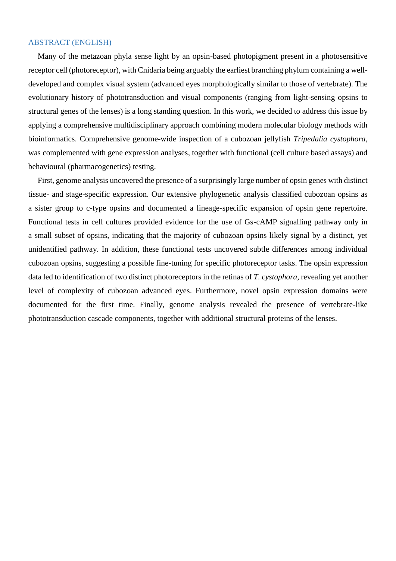#### <span id="page-4-0"></span>ABSTRACT (ENGLISH)

Many of the metazoan phyla sense light by an opsin-based photopigment present in a photosensitive receptor cell (photoreceptor), with Cnidaria being arguably the earliest branching phylum containing a welldeveloped and complex visual system (advanced eyes morphologically similar to those of vertebrate). The evolutionary history of phototransduction and visual components (ranging from light-sensing opsins to structural genes of the lenses) is a long standing question. In this work, we decided to address this issue by applying a comprehensive multidisciplinary approach combining modern molecular biology methods with bioinformatics. Comprehensive genome-wide inspection of a cubozoan jellyfish *Tripedalia cystophora,*  was complemented with gene expression analyses, together with functional (cell culture based assays) and behavioural (pharmacogenetics) testing.

First, genome analysis uncovered the presence of a surprisingly large number of opsin genes with distinct tissue- and stage-specific expression. Our extensive phylogenetic analysis classified cubozoan opsins as a sister group to c-type opsins and documented a lineage-specific expansion of opsin gene repertoire. Functional tests in cell cultures provided evidence for the use of Gs-cAMP signalling pathway only in a small subset of opsins, indicating that the majority of cubozoan opsins likely signal by a distinct, yet unidentified pathway. In addition, these functional tests uncovered subtle differences among individual cubozoan opsins, suggesting a possible fine-tuning for specific photoreceptor tasks. The opsin expression data led to identification of two distinct photoreceptors in the retinas of *T. cystophora*, revealing yet another level of complexity of cubozoan advanced eyes. Furthermore, novel opsin expression domains were documented for the first time. Finally, genome analysis revealed the presence of vertebrate-like phototransduction cascade components, together with additional structural proteins of the lenses.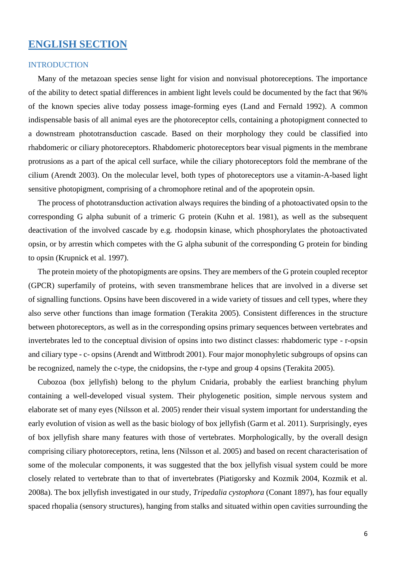## <span id="page-5-0"></span>**ENGLISH SECTION**

#### <span id="page-5-1"></span>INTRODUCTION

Many of the metazoan species sense light for vision and nonvisual photoreceptions. The importance of the ability to detect spatial differences in ambient light levels could be documented by the fact that 96% of the known species alive today possess image-forming eyes (Land and Fernald 1992). A common indispensable basis of all animal eyes are the photoreceptor cells, containing a photopigment connected to a downstream phototransduction cascade. Based on their morphology they could be classified into rhabdomeric or ciliary photoreceptors. Rhabdomeric photoreceptors bear visual pigments in the membrane protrusions as a part of the apical cell surface, while the ciliary photoreceptors fold the membrane of the cilium (Arendt 2003). On the molecular level, both types of photoreceptors use a vitamin-A-based light sensitive photopigment, comprising of a chromophore retinal and of the apoprotein opsin.

The process of phototransduction activation always requires the binding of a photoactivated opsin to the corresponding G alpha subunit of a trimeric G protein (Kuhn et al. 1981), as well as the subsequent deactivation of the involved cascade by e.g. rhodopsin kinase, which phosphorylates the photoactivated opsin, or by arrestin which competes with the G alpha subunit of the corresponding G protein for binding to opsin (Krupnick et al. 1997).

The protein moiety of the photopigments are opsins. They are members of the G protein coupled receptor (GPCR) superfamily of proteins, with seven transmembrane helices that are involved in a diverse set of signalling functions. Opsins have been discovered in a wide variety of tissues and cell types, where they also serve other functions than image formation (Terakita 2005). Consistent differences in the structure between photoreceptors, as well as in the corresponding opsins primary sequences between vertebrates and invertebrates led to the conceptual division of opsins into two distinct classes: rhabdomeric type - r-opsin and ciliary type - c- opsins (Arendt and Wittbrodt 2001). Four major monophyletic subgroups of opsins can be recognized, namely the c-type, the cnidopsins, the r-type and group 4 opsins (Terakita 2005).

Cubozoa (box jellyfish) belong to the phylum Cnidaria, probably the earliest branching phylum containing a well-developed visual system. Their phylogenetic position, simple nervous system and elaborate set of many eyes (Nilsson et al. 2005) render their visual system important for understanding the early evolution of vision as well as the basic biology of box jellyfish (Garm et al. 2011). Surprisingly, eyes of box jellyfish share many features with those of vertebrates. Morphologically, by the overall design comprising ciliary photoreceptors, retina, lens (Nilsson et al. 2005) and based on recent characterisation of some of the molecular components, it was suggested that the box jellyfish visual system could be more closely related to vertebrate than to that of invertebrates (Piatigorsky and Kozmik 2004, Kozmik et al. 2008a). The box jellyfish investigated in our study, *Tripedalia cystophora* (Conant 1897), has four equally spaced rhopalia (sensory structures), hanging from stalks and situated within open cavities surrounding the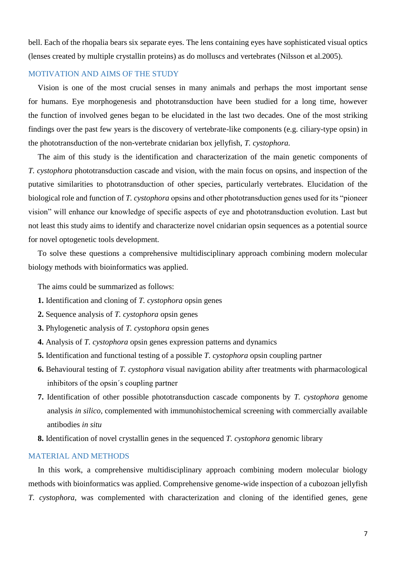bell. Each of the rhopalia bears six separate eyes. The lens containing eyes have sophisticated visual optics (lenses created by multiple crystallin proteins) as do molluscs and vertebrates (Nilsson et al.2005).

#### <span id="page-6-0"></span>MOTIVATION AND AIMS OF THE STUDY

Vision is one of the most crucial senses in many animals and perhaps the most important sense for humans. Eye morphogenesis and phototransduction have been studied for a long time, however the function of involved genes began to be elucidated in the last two decades. One of the most striking findings over the past few years is the discovery of vertebrate-like components (e.g. ciliary-type opsin) in the phototransduction of the non-vertebrate cnidarian box jellyfish, *T. cystophora.*

The aim of this study is the identification and characterization of the main genetic components of *T. cystophora* phototransduction cascade and vision, with the main focus on opsins, and inspection of the putative similarities to phototransduction of other species, particularly vertebrates. Elucidation of the biological role and function of *T. cystophora* opsins and other phototransduction genes used for its "pioneer vision" will enhance our knowledge of specific aspects of eye and phototransduction evolution. Last but not least this study aims to identify and characterize novel cnidarian opsin sequences as a potential source for novel optogenetic tools development.

To solve these questions a comprehensive multidisciplinary approach combining modern molecular biology methods with bioinformatics was applied.

The aims could be summarized as follows:

- **1.** Identification and cloning of *T. cystophora* opsin genes
- **2.** Sequence analysis of *T. cystophora* opsin genes
- **3.** Phylogenetic analysis of *T. cystophora* opsin genes
- **4.** Analysis of *T. cystophora* opsin genes expression patterns and dynamics
- **5.** Identification and functional testing of a possible *T. cystophora* opsin coupling partner
- **6.** Behavioural testing of *T. cystophora* visual navigation ability after treatments with pharmacological inhibitors of the opsin´s coupling partner
- **7.** Identification of other possible phototransduction cascade components by *T. cystophora* genome analysis *in silico*, complemented with immunohistochemical screening with commercially available antibodies *in situ*
- **8.** Identification of novel crystallin genes in the sequenced *T. cystophora* genomic library

#### <span id="page-6-1"></span>MATERIAL AND METHODS

In this work, a comprehensive multidisciplinary approach combining modern molecular biology methods with bioinformatics was applied. Comprehensive genome-wide inspection of a cubozoan jellyfish *T. cystophora*, was complemented with characterization and cloning of the identified genes, gene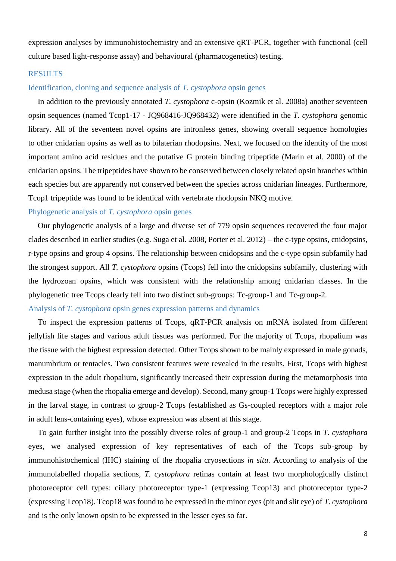expression analyses by immunohistochemistry and an extensive qRT-PCR, together with functional (cell culture based light-response assay) and behavioural (pharmacogenetics) testing.

#### <span id="page-7-0"></span>**RESULTS**

#### <span id="page-7-1"></span>Identification, cloning and sequence analysis of *T. cystophora* opsin genes

In addition to the previously annotated *T. cystophora* c-opsin (Kozmik et al. 2008a) another seventeen opsin sequences (named Tcop1-17 - JQ968416-JQ968432) were identified in the *T. cystophora* genomic library. All of the seventeen novel opsins are intronless genes, showing overall sequence homologies to other cnidarian opsins as well as to bilaterian rhodopsins. Next, we focused on the identity of the most important amino acid residues and the putative G protein binding tripeptide (Marin et al. 2000) of the cnidarian opsins. The tripeptides have shown to be conserved between closely related opsin branches within each species but are apparently not conserved between the species across cnidarian lineages. Furthermore, Tcop1 tripeptide was found to be identical with vertebrate rhodopsin NKQ motive.

#### <span id="page-7-2"></span>Phylogenetic analysis of *T. cystophora* opsin genes

Our phylogenetic analysis of a large and diverse set of 779 opsin sequences recovered the four major clades described in earlier studies (e.g. Suga et al. 2008, Porter et al. 2012) – the c-type opsins, cnidopsins, r-type opsins and group 4 opsins. The relationship between cnidopsins and the c-type opsin subfamily had the strongest support. All *T. cystophora* opsins (Tcops) fell into the cnidopsins subfamily, clustering with the hydrozoan opsins, which was consistent with the relationship among cnidarian classes. In the phylogenetic tree Tcops clearly fell into two distinct sub-groups: Tc-group-1 and Tc-group-2.

#### <span id="page-7-3"></span>Analysis of *T. cystophora* opsin genes expression patterns and dynamics

To inspect the expression patterns of Tcops, qRT-PCR analysis on mRNA isolated from different jellyfish life stages and various adult tissues was performed. For the majority of Tcops, rhopalium was the tissue with the highest expression detected. Other Tcops shown to be mainly expressed in male gonads, manumbrium or tentacles. Two consistent features were revealed in the results. First, Tcops with highest expression in the adult rhopalium, significantly increased their expression during the metamorphosis into medusa stage (when the rhopalia emerge and develop). Second, many group-1 Tcops were highly expressed in the larval stage, in contrast to group-2 Tcops (established as Gs-coupled receptors with a major role in adult lens-containing eyes), whose expression was absent at this stage.

To gain further insight into the possibly diverse roles of group-1 and group-2 Tcops in *T. cystophora* eyes, we analysed expression of key representatives of each of the Tcops sub-group by immunohistochemical (IHC) staining of the rhopalia cryosections *in situ*. According to analysis of the immunolabelled rhopalia sections, *T. cystophora* retinas contain at least two morphologically distinct photoreceptor cell types: ciliary photoreceptor type-1 (expressing Tcop13) and photoreceptor type-2 (expressing Tcop18). Tcop18 was found to be expressed in the minor eyes (pit and slit eye) of *T. cystophora* and is the only known opsin to be expressed in the lesser eyes so far.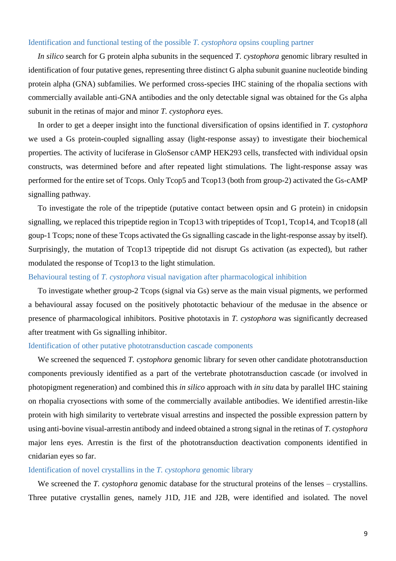#### <span id="page-8-0"></span>Identification and functional testing of the possible *T. cystophora* opsins coupling partner

*In silico* search for G protein alpha subunits in the sequenced *T. cystophora* genomic library resulted in identification of four putative genes, representing three distinct G alpha subunit guanine nucleotide binding protein alpha (GNA) subfamilies. We performed cross-species IHC staining of the rhopalia sections with commercially available anti-GNA antibodies and the only detectable signal was obtained for the Gs alpha subunit in the retinas of major and minor *T. cystophora* eyes.

In order to get a deeper insight into the functional diversification of opsins identified in *T. cystophora* we used a Gs protein-coupled signalling assay (light-response assay) to investigate their biochemical properties. The activity of luciferase in GloSensor cAMP HEK293 cells, transfected with individual opsin constructs, was determined before and after repeated light stimulations. The light-response assay was performed for the entire set of Tcops. Only Tcop5 and Tcop13 (both from group-2) activated the Gs-cAMP signalling pathway.

To investigate the role of the tripeptide (putative contact between opsin and G protein) in cnidopsin signalling, we replaced this tripeptide region in Tcop13 with tripeptides of Tcop1, Tcop14, and Tcop18 (all goup-1 Tcops; none of these Tcops activated the Gs signalling cascade in the light-response assay by itself). Surprisingly, the mutation of Tcop13 tripeptide did not disrupt Gs activation (as expected), but rather modulated the response of Tcop13 to the light stimulation.

#### <span id="page-8-1"></span>Behavioural testing of *T. cystophora* visual navigation after pharmacological inhibition

To investigate whether group-2 Tcops (signal via Gs) serve as the main visual pigments, we performed a behavioural assay focused on the positively phototactic behaviour of the medusae in the absence or presence of pharmacological inhibitors. Positive phototaxis in *T. cystophora* was significantly decreased after treatment with Gs signalling inhibitor.

#### <span id="page-8-2"></span>Identification of other putative phototransduction cascade components

We screened the sequenced *T. cystophora* genomic library for seven other candidate phototransduction components previously identified as a part of the vertebrate phototransduction cascade (or involved in photopigment regeneration) and combined this *in silico* approach with *in situ* data by parallel IHC staining on rhopalia cryosections with some of the commercially available antibodies. We identified arrestin-like protein with high similarity to vertebrate visual arrestins and inspected the possible expression pattern by using anti-bovine visual-arrestin antibody and indeed obtained a strong signal in the retinas of *T. cystophora* major lens eyes. Arrestin is the first of the phototransduction deactivation components identified in cnidarian eyes so far.

#### <span id="page-8-3"></span>Identification of novel crystallins in the *T. cystophora* genomic library

We screened the *T. cystophora* genomic database for the structural proteins of the lenses – crystallins. Three putative crystallin genes, namely J1D, J1E and J2B, were identified and isolated. The novel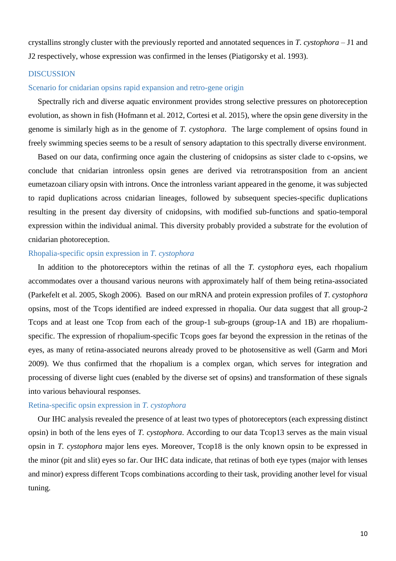crystallins strongly cluster with the previously reported and annotated sequences in *T. cystophora* – J1 and J2 respectively, whose expression was confirmed in the lenses (Piatigorsky et al. 1993).

#### <span id="page-9-0"></span>**DISCUSSION**

#### <span id="page-9-1"></span>Scenario for cnidarian opsins rapid expansion and retro-gene origin

Spectrally rich and diverse aquatic environment provides strong selective pressures on photoreception evolution, as shown in fish (Hofmann et al. 2012, Cortesi et al. 2015), where the opsin gene diversity in the genome is similarly high as in the genome of *T. cystophora*. The large complement of opsins found in freely swimming species seems to be a result of sensory adaptation to this spectrally diverse environment.

Based on our data, confirming once again the clustering of cnidopsins as sister clade to c-opsins, we conclude that cnidarian intronless opsin genes are derived via retrotransposition from an ancient eumetazoan ciliary opsin with introns. Once the intronless variant appeared in the genome, it was subjected to rapid duplications across cnidarian lineages, followed by subsequent species-specific duplications resulting in the present day diversity of cnidopsins, with modified sub-functions and spatio-temporal expression within the individual animal. This diversity probably provided a substrate for the evolution of cnidarian photoreception.

#### <span id="page-9-2"></span>Rhopalia-specific opsin expression in *T. cystophora*

In addition to the photoreceptors within the retinas of all the *T. cystophora* eyes, each rhopalium accommodates over a thousand various neurons with approximately half of them being retina-associated (Parkefelt et al. 2005, Skogh 2006). Based on our mRNA and protein expression profiles of *T. cystophora* opsins, most of the Tcops identified are indeed expressed in rhopalia. Our data suggest that all group-2 Tcops and at least one Tcop from each of the group-1 sub-groups (group-1A and 1B) are rhopaliumspecific. The expression of rhopalium-specific Tcops goes far beyond the expression in the retinas of the eyes, as many of retina-associated neurons already proved to be photosensitive as well (Garm and Mori 2009). We thus confirmed that the rhopalium is a complex organ, which serves for integration and processing of diverse light cues (enabled by the diverse set of opsins) and transformation of these signals into various behavioural responses.

#### <span id="page-9-3"></span>Retina-specific opsin expression in *T. cystophora*

Our IHC analysis revealed the presence of at least two types of photoreceptors (each expressing distinct opsin) in both of the lens eyes of *T. cystophora*. According to our data Tcop13 serves as the main visual opsin in *T. cystophora* major lens eyes. Moreover, Tcop18 is the only known opsin to be expressed in the minor (pit and slit) eyes so far. Our IHC data indicate, that retinas of both eye types (major with lenses and minor) express different Tcops combinations according to their task, providing another level for visual tuning.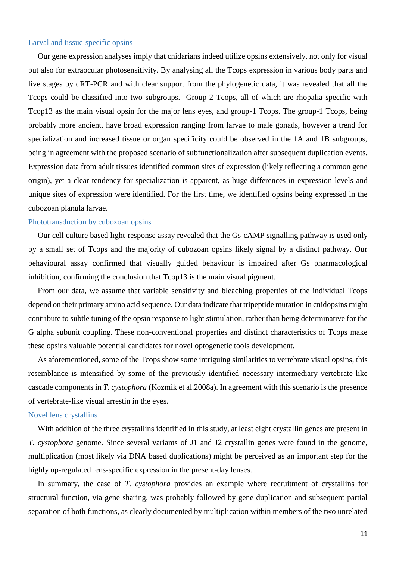#### <span id="page-10-0"></span>Larval and tissue-specific opsins

Our gene expression analyses imply that cnidarians indeed utilize opsins extensively, not only for visual but also for extraocular photosensitivity. By analysing all the Tcops expression in various body parts and live stages by qRT-PCR and with clear support from the phylogenetic data, it was revealed that all the Tcops could be classified into two subgroups. Group-2 Tcops, all of which are rhopalia specific with Tcop13 as the main visual opsin for the major lens eyes, and group-1 Tcops. The group-1 Tcops, being probably more ancient, have broad expression ranging from larvae to male gonads, however a trend for specialization and increased tissue or organ specificity could be observed in the 1A and 1B subgroups, being in agreement with the proposed scenario of subfunctionalization after subsequent duplication events. Expression data from adult tissues identified common sites of expression (likely reflecting a common gene origin), yet a clear tendency for specialization is apparent, as huge differences in expression levels and unique sites of expression were identified. For the first time, we identified opsins being expressed in the cubozoan planula larvae.

#### <span id="page-10-1"></span>Phototransduction by cubozoan opsins

Our cell culture based light-response assay revealed that the Gs-cAMP signalling pathway is used only by a small set of Tcops and the majority of cubozoan opsins likely signal by a distinct pathway. Our behavioural assay confirmed that visually guided behaviour is impaired after Gs pharmacological inhibition, confirming the conclusion that  $T_{\text{cop}13}$  is the main visual pigment.

From our data, we assume that variable sensitivity and bleaching properties of the individual Tcops depend on their primary amino acid sequence. Our data indicate that tripeptide mutation in cnidopsins might contribute to subtle tuning of the opsin response to light stimulation, rather than being determinative for the G alpha subunit coupling. These non-conventional properties and distinct characteristics of Tcops make these opsins valuable potential candidates for novel optogenetic tools development.

As aforementioned, some of the Tcops show some intriguing similarities to vertebrate visual opsins, this resemblance is intensified by some of the previously identified necessary intermediary vertebrate-like cascade components in *T. cystophora* (Kozmik et al.2008a). In agreement with this scenario is the presence of vertebrate-like visual arrestin in the eyes.

#### <span id="page-10-2"></span>Novel lens crystallins

With addition of the three crystallins identified in this study, at least eight crystallin genes are present in *T. cystophora* genome. Since several variants of J1 and J2 crystallin genes were found in the genome, multiplication (most likely via DNA based duplications) might be perceived as an important step for the highly up-regulated lens-specific expression in the present-day lenses.

In summary, the case of *T. cystophora* provides an example where recruitment of crystallins for structural function, via gene sharing, was probably followed by gene duplication and subsequent partial separation of both functions, as clearly documented by multiplication within members of the two unrelated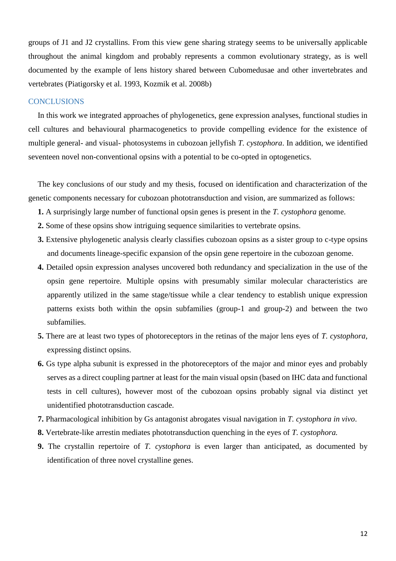groups of J1 and J2 crystallins. From this view gene sharing strategy seems to be universally applicable throughout the animal kingdom and probably represents a common evolutionary strategy, as is well documented by the example of lens history shared between Cubomedusae and other invertebrates and vertebrates (Piatigorsky et al. 1993, Kozmik et al. 2008b)

#### <span id="page-11-0"></span>**CONCLUSIONS**

In this work we integrated approaches of phylogenetics, gene expression analyses, functional studies in cell cultures and behavioural pharmacogenetics to provide compelling evidence for the existence of multiple general- and visual- photosystems in cubozoan jellyfish *T. cystophora*. In addition, we identified seventeen novel non-conventional opsins with a potential to be co-opted in optogenetics.

The key conclusions of our study and my thesis, focused on identification and characterization of the genetic components necessary for cubozoan phototransduction and vision, are summarized as follows:

- **1.** A surprisingly large number of functional opsin genes is present in the *T. cystophora* genome.
- **2.** Some of these opsins show intriguing sequence similarities to vertebrate opsins.
- **3.** Extensive phylogenetic analysis clearly classifies cubozoan opsins as a sister group to c-type opsins and documents lineage-specific expansion of the opsin gene repertoire in the cubozoan genome.
- **4.** Detailed opsin expression analyses uncovered both redundancy and specialization in the use of the opsin gene repertoire. Multiple opsins with presumably similar molecular characteristics are apparently utilized in the same stage/tissue while a clear tendency to establish unique expression patterns exists both within the opsin subfamilies (group-1 and group-2) and between the two subfamilies.
- **5.** There are at least two types of photoreceptors in the retinas of the major lens eyes of *T. cystophora*, expressing distinct opsins.
- **6.** Gs type alpha subunit is expressed in the photoreceptors of the major and minor eyes and probably serves as a direct coupling partner at least for the main visual opsin (based on IHC data and functional tests in cell cultures), however most of the cubozoan opsins probably signal via distinct yet unidentified phototransduction cascade.
- **7.** Pharmacological inhibition by Gs antagonist abrogates visual navigation in *T. cystophora in vivo*.
- **8.** Vertebrate-like arrestin mediates phototransduction quenching in the eyes of *T. cystophora.*
- **9.** The crystallin repertoire of *T. cystophora* is even larger than anticipated, as documented by identification of three novel crystalline genes.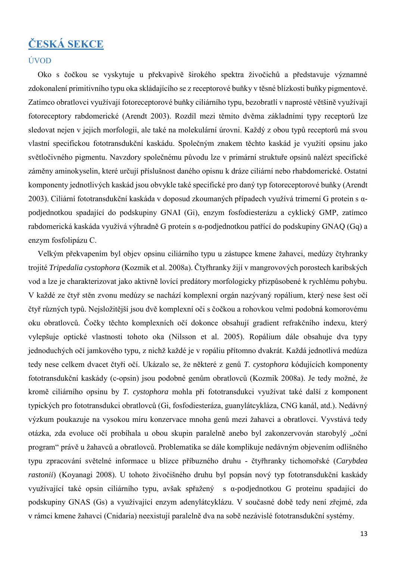# <span id="page-12-0"></span>**ČESKÁ SEKCE**

#### <span id="page-12-1"></span>ÚVOD

Oko s čočkou se vyskytuje u překvapivě širokého spektra živočichů a představuje významné zdokonalení primitivního typu oka skládajícího se z receptorové buňky v těsné blízkosti buňky pigmentové. Zatímco obratlovci využívají fotoreceptorové buňky ciliárního typu, bezobratlí v naprosté většině využívají fotoreceptory rabdomerické (Arendt 2003). Rozdíl mezi těmito dvěma základními typy receptorů lze sledovat nejen v jejich morfologii, ale také na molekulární úrovni. Každý z obou typů receptorů má svou vlastní specifickou fototransdukční kaskádu. Společným znakem těchto kaskád je využití opsinu jako světločivného pigmentu. Navzdory společnému původu lze v primární struktuře opsinů nalézt specifické záměny aminokyselin, které určují příslušnost daného opisnu k dráze ciliární nebo rhabdomerické. Ostatní komponenty jednotlivých kaskád jsou obvykle také specifické pro daný typ fotoreceptorové buňky (Arendt 2003). Ciliární fototransdukční kaskáda v doposud zkoumaných případech využívá trimerní G protein s αpodjednotkou spadající do podskupiny GNAI (Gi), enzym fosfodiesterázu a cyklický GMP, zatímco rabdomerická kaskáda využívá výhradně G protein s α-podjednotkou patřící do podskupiny GNAQ (Gq) a enzym fosfolipázu C.

Velkým překvapením byl objev opsinu ciliárního typu u zástupce kmene žahavci, medúzy čtyhranky trojité *Tripedalia cystophora* (Kozmik et al. 2008a). Čtyřhranky žijí v mangrovových porostech karibských vod a lze je charakterizovat jako aktivně lovící predátory morfologicky přizpůsobené k rychlému pohybu. V každé ze čtyř stěn zvonu medúzy se nachází komplexní orgán nazývaný ropálium, který nese šest očí čtyř různých typů. Nejsložitější jsou dvě komplexní oči s čočkou a rohovkou velmi podobná komorovému oku obratlovců. Čočky těchto komplexních očí dokonce obsahují gradient refrakčního indexu, který vylepšuje optické vlastnosti tohoto oka (Nilsson et al. 2005). Ropálium dále obsahuje dva typy jednoduchých očí jamkového typu, z nichž každé je v ropáliu přítomno dvakrát. Každá jednotlivá medúza tedy nese celkem dvacet čtyři očí. Ukázalo se, že některé z genů *T. cystophora* kódujících komponenty fototransdukční kaskády (c-opsin) jsou podobné genům obratlovců (Kozmik 2008a). Je tedy možné, že kromě ciliárního opsinu by *T. cystophora* mohla při fototransdukci využívat také další z komponent typických pro fototransdukci obratlovců (Gi, fosfodiesteráza, guanylátcykláza, CNG kanál, atd.). Nedávný výzkum poukazuje na vysokou míru konzervace mnoha genů mezi žahavci a obratlovci. Vyvstává tedy otázka, zda evoluce očí probíhala u obou skupin paralelně anebo byl zakonzervován starobylý "oční program" právě u žahavců a obratlovců. Problematika se dále komplikuje nedávným objevením odlišného typu zpracování světelné informace u blízce příbuzného druhu - čtyřhranky tichomořské (*Carybdea rastonii*) (Koyanagi 2008). U tohoto živočišného druhu byl popsán nový typ fototransdukční kaskády využívající také opsin ciliárního typu, avšak spřažený s α-podjednotkou G proteinu spadající do podskupiny GNAS (Gs) a využívající enzym adenylátcyklázu. V současné době tedy není zřejmé, zda v rámci kmene žahavci (Cnidaria) neexistují paralelně dva na sobě nezávislé fototransdukční systémy.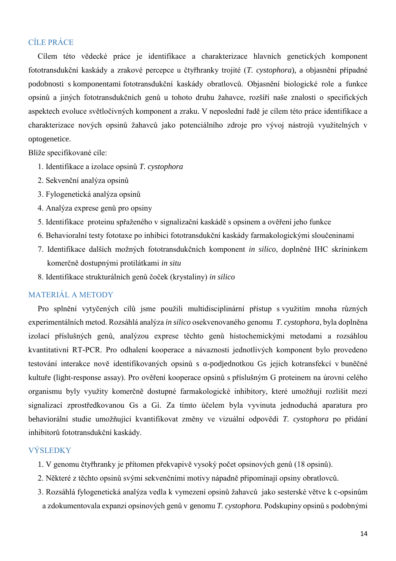## <span id="page-13-0"></span>CÍLE PRÁCE

Cílem této vědecké práce je identifikace a charakterizace hlavních genetických komponent fototransdukční kaskády a zrakové percepce u čtyřhranky trojité (*T. cystophora*), a objasnění případné podobnosti s komponentami fototransdukční kaskády obratlovců. Objasnění biologické role a funkce opsinů a jiných fototransdukčních genů u tohoto druhu žahavce, rozšíří naše znalosti o specifických aspektech evoluce světločivných komponent a zraku. V neposlední řadě je cílem této práce identifikace a charakterizace nových opsinů žahavců jako potenciálního zdroje pro vývoj nástrojů využitelných v optogenetice.

Blíže specifikované cíle:

- 1. Identifikace a izolace opsinů *T. cystophora*
- 2. Sekvenční analýza opsinů
- 3. Fylogenetická analýza opsinů
- 4. Analýza exprese genů pro opsiny
- 5. Identifikace proteinu spřaženého v signalizační kaskádě s opsinem a ověření jeho funkce
- 6. Behavioralní testy fototaxe po inhibici fototransdukční kaskády farmakologickými sloučeninami
- 7. Identifikace dalších možných fototransdukčních komponent *in silico*, doplněné IHC skríninkem komerčně dostupnými protilátkami *in situ*
- 8. Identifikace strukturálních genů čoček (krystaliny) *in silico*

#### <span id="page-13-1"></span>MATERIÁL A METODY

Pro splnění vytyčených cílů jsme použili multidisciplinární přístup s využitím mnoha různých experimentálních metod. Rozsáhlá analýza *in silico* osekvenovaného genomu *T. cystophora*, byla doplněna izolací příslušných genů, analýzou exprese těchto genů histochemickými metodami a rozsáhlou kvantitativní RT-PCR. Pro odhalení kooperace a návaznosti jednotlivých komponent bylo provedeno testování interakce nově identifikovaných opsinů s α-podjednotkou Gs jejich kotransfekcí v buněčné kultuře (light-response assay). Pro ověření kooperace opsinů s příslušným G proteinem na úrovni celého organismu byly využity komerčně dostupné farmakologické inhibitory, které umožňují rozlišit mezi signalizací zprostředkovanou Gs a Gi. Za tímto účelem byla vyvinuta jednoduchá aparatura pro behaviorální studie umožňující kvantifikovat změny ve vizuální odpovědi *T. cystophora* po přidání inhibitorů fototransdukční kaskády.

#### <span id="page-13-2"></span>**VÝSLEDKY**

- 1. V genomu čtyřhranky je přítomen překvapivě vysoký počet opsinových genů (18 opsinů).
- 2. Některé z těchto opsinů svými sekvenčními motivy nápadně připomínají opsiny obratlovců.
- 3. Rozsáhlá fylogenetická analýza vedla k vymezení opsinů žahavců jako sesterské větve k c-opsinům a zdokumentovala expanzi opsinových genů v genomu *T. cystophora.* Podskupiny opsinů s podobnými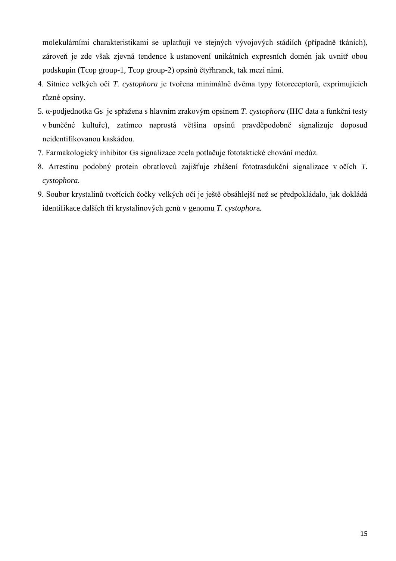molekulárními charakteristikami se uplatňují ve stejných vývojových stádiích (případně tkáních), zároveň je zde však zjevná tendence k ustanovení unikátních expresních domén jak uvnitř obou podskupin (Tcop group-1, Tcop group-2) opsinů čtyřhranek, tak mezi nimi.

- 4. Sítnice velkých očí *T. cystophora* je tvořena minimálně dvěma typy fotoreceptorů, exprimujících různé opsiny.
- 5. α-podjednotka Gs je spřažena s hlavním zrakovým opsinem *T. cystophora* (IHC data a funkční testy v buněčné kultuře), zatímco naprostá většina opsinů pravděpodobně signalizuje doposud neidentifikovanou kaskádou.
- 7. Farmakologický inhibitor Gs signalizace zcela potlačuje fototaktické chování medúz.
- 8. Arrestinu podobný protein obratlovců zajišťuje zhášení fototrasdukční signalizace v očích *T. cystophora.*
- 9. Soubor krystalinů tvořících čočky velkých očí je ještě obsáhlejší než se předpokládalo, jak dokládá identifikace dalších tří krystalinových genů v genomu *T. cystophor*a*.*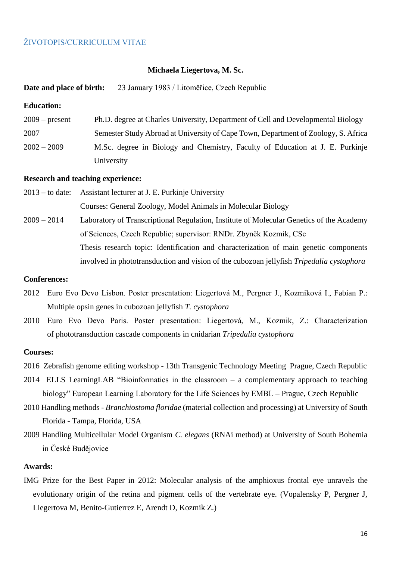#### <span id="page-15-0"></span>ŽIVOTOPIS/CURRICULUM VITAE

#### **Michaela Liegertova, M. Sc.**

#### **Date and place of birth:** 23 January 1983 / Litoměřice, Czech Republic

#### **Education:**

| $2009$ – present | Ph.D. degree at Charles University, Department of Cell and Developmental Biology   |
|------------------|------------------------------------------------------------------------------------|
| 2007             | Semester Study Abroad at University of Cape Town, Department of Zoology, S. Africa |
| $2002 - 2009$    | M.Sc. degree in Biology and Chemistry, Faculty of Education at J. E. Purkinje      |
|                  | University                                                                         |

#### **Research and teaching experience:**

- 2013 to date: Assistant lecturer at J. E. Purkinje University Courses: General Zoology, Model Animals in Molecular Biology
- 2009 2014 Laboratory of Transcriptional Regulation, Institute of Molecular Genetics of the Academy of Sciences, Czech Republic; supervisor: RNDr. Zbyněk Kozmik, CSc Thesis research topic: Identification and characterization of main genetic components involved in phototransduction and vision of the cubozoan jellyfish *Tripedalia cystophora*

#### **Conferences:**

- 2012 Euro Evo Devo Lisbon. Poster presentation: Liegertová M., Pergner J., Kozmiková I., Fabian P.: Multiple opsin genes in cubozoan jellyfish *T. cystophora*
- 2010 Euro Evo Devo Paris. Poster presentation: Liegertová, M., Kozmik, Z.: Characterization of phototransduction cascade components in cnidarian *Tripedalia cystophora*

#### **Courses:**

- 2016 Zebrafish genome editing workshop 13th Transgenic Technology Meeting Prague, Czech Republic
- 2014 ELLS LearningLAB "Bioinformatics in the classroom a complementary approach to teaching biology" European Learning Laboratory for the Life Sciences by EMBL – Prague, Czech Republic
- 2010 Handling methods *Branchiostoma floridae* (material collection and processing) at University of South Florida - Tampa, Florida, USA
- 2009 Handling Multicellular Model Organism *C. elegans* (RNAi method) at University of South Bohemia in České Budějovice

#### **Awards:**

IMG Prize for the Best Paper in 2012: Molecular analysis of the amphioxus frontal eye unravels the evolutionary origin of the retina and pigment cells of the vertebrate eye. (Vopalensky P, Pergner J, Liegertova M, Benito-Gutierrez E, Arendt D, Kozmik Z.)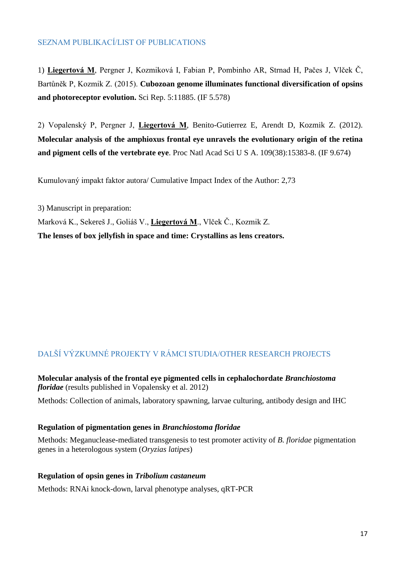## <span id="page-16-0"></span>SEZNAM PUBLIKACÍ/LIST OF PUBLICATIONS

1) **Liegertová M**, Pergner J, Kozmiková I, Fabian P, Pombinho AR, Strnad H, Pačes J, Vlček Č, Bartůněk P, Kozmik Z. (2015). **Cubozoan genome illuminates functional diversification of opsins and photoreceptor evolution.** Sci Rep. 5:11885. (IF 5.578)

2) Vopalenský P, Pergner J, **Liegertová M**, Benito-Gutierrez E, Arendt D, Kozmik Z. (2012). **Molecular analysis of the amphioxus frontal eye unravels the evolutionary origin of the retina and pigment cells of the vertebrate eye**. Proc Natl Acad Sci U S A. 109(38):15383-8. (IF 9.674)

Kumulovaný impakt faktor autora/ Cumulative Impact Index of the Author: 2,73

3) Manuscript in preparation: Marková K., Sekereš J., Goliáš V., **Liegertová M**., Vlček Č., Kozmik Z. **The lenses of box jellyfish in space and time: Crystallins as lens creators.** 

## <span id="page-16-1"></span>DALŠÍ VÝZKUMNÉ PROJEKTY V RÁMCI STUDIA/OTHER RESEARCH PROJECTS

**Molecular analysis of the frontal eye pigmented cells in cephalochordate** *Branchiostoma floridae* (results published in Vopalensky et al. 2012)

Methods: Collection of animals, laboratory spawning, larvae culturing, antibody design and IHC

#### **Regulation of pigmentation genes in** *Branchiostoma floridae*

Methods: Meganuclease-mediated transgenesis to test promoter activity of *B. floridae* pigmentation genes in a heterologous system (*Oryzias latipes*)

#### **Regulation of opsin genes in** *Tribolium castaneum*

Methods: RNAi knock-down, larval phenotype analyses, qRT-PCR